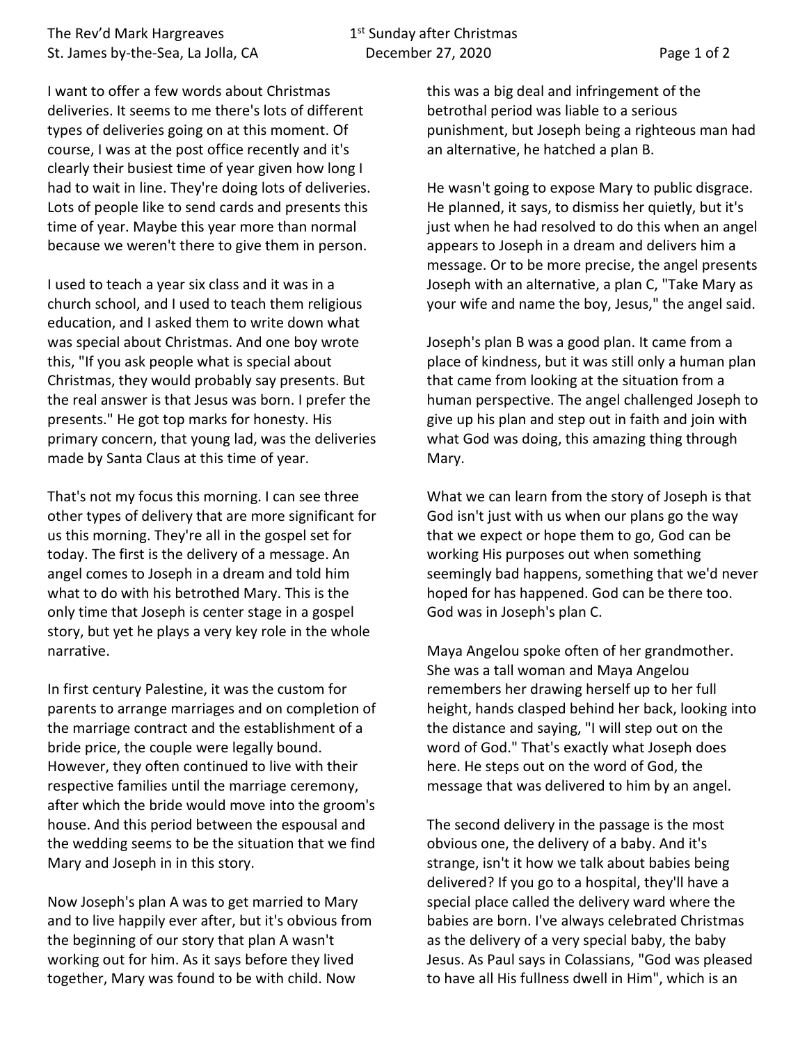I want to offer a few words about Christmas deliveries. It seems to me there's lots of different types of deliveries going on at this moment. Of course, I was at the post office recently and it's clearly their busiest time of year given how long I had to wait in line. They're doing lots of deliveries. Lots of people like to send cards and presents this time of year. Maybe this year more than normal because we weren't there to give them in person.

I used to teach a year six class and it was in a church school, and I used to teach them religious education, and I asked them to write down what was special about Christmas. And one boy wrote this, "If you ask people what is special about Christmas, they would probably say presents. But the real answer is that Jesus was born. I prefer the presents." He got top marks for honesty. His primary concern, that young lad, was the deliveries made by Santa Claus at this time of year.

That's not my focus this morning. I can see three other types of delivery that are more significant for us this morning. They're all in the gospel set for today. The first is the delivery of a message. An angel comes to Joseph in a dream and told him what to do with his betrothed Mary. This is the only time that Joseph is center stage in a gospel story, but yet he plays a very key role in the whole narrative.

In first century Palestine, it was the custom for parents to arrange marriages and on completion of the marriage contract and the establishment of a bride price, the couple were legally bound. However, they often continued to live with their respective families until the marriage ceremony, after which the bride would move into the groom's house. And this period between the espousal and the wedding seems to be the situation that we find Mary and Joseph in in this story.

Now Joseph's plan A was to get married to Mary and to live happily ever after, but it's obvious from the beginning of our story that plan A wasn't working out for him. As it says before they lived together, Mary was found to be with child. Now

this was a big deal and infringement of the betrothal period was liable to a serious punishment, but Joseph being a righteous man had an alternative, he hatched a plan B.

He wasn't going to expose Mary to public disgrace. He planned, it says, to dismiss her quietly, but it's just when he had resolved to do this when an angel appears to Joseph in a dream and delivers him a message. Or to be more precise, the angel presents Joseph with an alternative, a plan C, "Take Mary as your wife and name the boy, Jesus," the angel said.

Joseph's plan B was a good plan. It came from a place of kindness, but it was still only a human plan that came from looking at the situation from a human perspective. The angel challenged Joseph to give up his plan and step out in faith and join with what God was doing, this amazing thing through Mary.

What we can learn from the story of Joseph is that God isn't just with us when our plans go the way that we expect or hope them to go, God can be working His purposes out when something seemingly bad happens, something that we'd never hoped for has happened. God can be there too. God was in Joseph's plan C.

Maya Angelou spoke often of her grandmother. She was a tall woman and Maya Angelou remembers her drawing herself up to her full height, hands clasped behind her back, looking into the distance and saying, "I will step out on the word of God." That's exactly what Joseph does here. He steps out on the word of God, the message that was delivered to him by an angel.

The second delivery in the passage is the most obvious one, the delivery of a baby. And it's strange, isn't it how we talk about babies being delivered? If you go to a hospital, they'll have a special place called the delivery ward where the babies are born. I've always celebrated Christmas as the delivery of a very special baby, the baby Jesus. As Paul says in Colassians, "God was pleased to have all His fullness dwell in Him", which is an